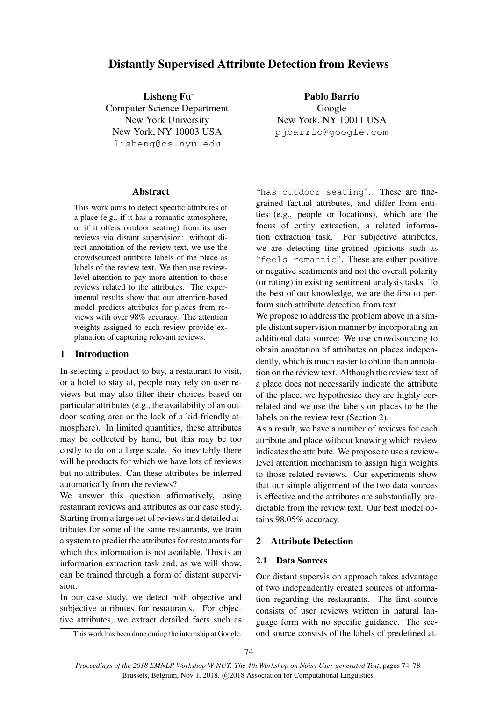# Distantly Supervised Attribute Detection from Reviews

Lisheng Fu<sup>∗</sup> Computer Science Department New York University New York, NY 10003 USA lisheng@cs.nyu.edu

#### Abstract

This work aims to detect specific attributes of a place (e.g., if it has a romantic atmosphere, or if it offers outdoor seating) from its user reviews via distant supervision: without direct annotation of the review text, we use the crowdsourced attribute labels of the place as labels of the review text. We then use reviewlevel attention to pay more attention to those reviews related to the attributes. The experimental results show that our attention-based model predicts attributes for places from reviews with over 98% accuracy. The attention weights assigned to each review provide explanation of capturing relevant reviews.

### 1 Introduction

In selecting a product to buy, a restaurant to visit, or a hotel to stay at, people may rely on user reviews but may also filter their choices based on particular attributes (e.g., the availability of an outdoor seating area or the lack of a kid-friendly atmosphere). In limited quantities, these attributes may be collected by hand, but this may be too costly to do on a large scale. So inevitably there will be products for which we have lots of reviews but no attributes. Can these attributes be inferred automatically from the reviews?

We answer this question affirmatively, using restaurant reviews and attributes as our case study. Starting from a large set of reviews and detailed attributes for some of the same restaurants, we train a system to predict the attributes for restaurants for which this information is not available. This is an information extraction task and, as we will show, can be trained through a form of distant supervision.

In our case study, we detect both objective and subjective attributes for restaurants. For objective attributes, we extract detailed facts such as

Pablo Barrio Google New York, NY 10011 USA pjbarrio@google.com

"has outdoor seating". These are finegrained factual attributes, and differ from entities (e.g., people or locations), which are the focus of entity extraction, a related information extraction task. For subjective attributes, we are detecting fine-grained opinions such as "feels romantic". These are either positive or negative sentiments and not the overall polarity (or rating) in existing sentiment analysis tasks. To the best of our knowledge, we are the first to perform such attribute detection from text.

We propose to address the problem above in a simple distant supervision manner by incorporating an additional data source: We use crowdsourcing to obtain annotation of attributes on places independently, which is much easier to obtain than annotation on the review text. Although the review text of a place does not necessarily indicate the attribute of the place, we hypothesize they are highly correlated and we use the labels on places to be the labels on the review text (Section [2\)](#page-0-0).

As a result, we have a number of reviews for each attribute and place without knowing which review indicates the attribute. We propose to use a reviewlevel attention mechanism to assign high weights to those related reviews. Our experiments show that our simple alignment of the two data sources is effective and the attributes are substantially predictable from the review text. Our best model obtains 98.05% accuracy.

## <span id="page-0-0"></span>2 Attribute Detection

### 2.1 Data Sources

Our distant supervision approach takes advantage of two independently created sources of information regarding the restaurants. The first source consists of user reviews written in natural language form with no specific guidance. The second source consists of the labels of predefined at-

This work has been done during the internship at Google.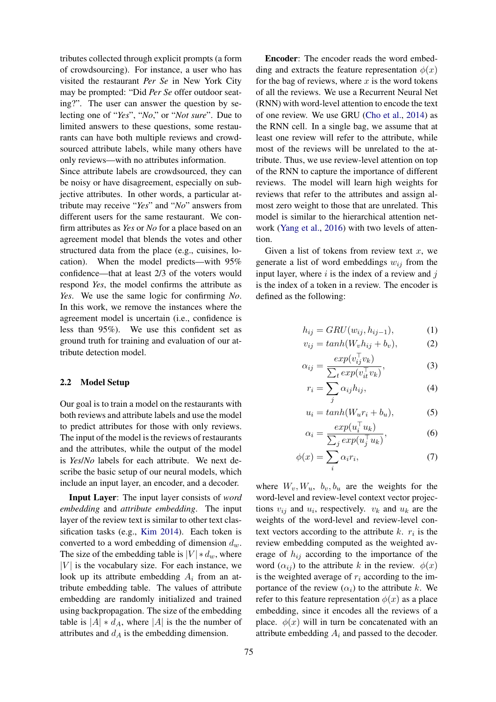tributes collected through explicit prompts (a form of crowdsourcing). For instance, a user who has visited the restaurant *Per Se* in New York City may be prompted: "Did *Per Se* offer outdoor seating?". The user can answer the question by selecting one of "*Yes*", "*No*," or "*Not sure*". Due to limited answers to these questions, some restaurants can have both multiple reviews and crowdsourced attribute labels, while many others have only reviews—with no attributes information.

Since attribute labels are crowdsourced, they can be noisy or have disagreement, especially on subjective attributes. In other words, a particular attribute may receive "*Yes*" and "*No*" answers from different users for the same restaurant. We confirm attributes as *Yes* or *No* for a place based on an agreement model that blends the votes and other structured data from the place (e.g., cuisines, location). When the model predicts—with 95% confidence—that at least 2/3 of the voters would respond *Yes*, the model confirms the attribute as *Yes*. We use the same logic for confirming *No*. In this work, we remove the instances where the agreement model is uncertain (i.e., confidence is less than 95%). We use this confident set as ground truth for training and evaluation of our attribute detection model.

#### 2.2 Model Setup

Our goal is to train a model on the restaurants with both reviews and attribute labels and use the model to predict attributes for those with only reviews. The input of the model is the reviews of restaurants and the attributes, while the output of the model is *Yes*/*No* labels for each attribute. We next describe the basic setup of our neural models, which include an input layer, an encoder, and a decoder.

Input Layer: The input layer consists of *word embedding* and *attribute embedding*. The input layer of the review text is similar to other text classification tasks (e.g., [Kim](#page-4-0) [2014\)](#page-4-0). Each token is converted to a word embedding of dimension  $d_w$ . The size of the embedding table is  $|V| * d_w$ , where  $|V|$  is the vocabulary size. For each instance, we look up its attribute embedding  $A_i$  from an attribute embedding table. The values of attribute embedding are randomly initialized and trained using backpropagation. The size of the embedding table is  $|A| * d_A$ , where  $|A|$  is the the number of attributes and  $d_A$  is the embedding dimension.

Encoder: The encoder reads the word embedding and extracts the feature representation  $\phi(x)$ for the bag of reviews, where  $x$  is the word tokens of all the reviews. We use a Recurrent Neural Net (RNN) with word-level attention to encode the text of one review. We use GRU [\(Cho et al.,](#page-4-1) [2014\)](#page-4-1) as the RNN cell. In a single bag, we assume that at least one review will refer to the attribute, while most of the reviews will be unrelated to the attribute. Thus, we use review-level attention on top of the RNN to capture the importance of different reviews. The model will learn high weights for reviews that refer to the attributes and assign almost zero weight to those that are unrelated. This model is similar to the hierarchical attention network [\(Yang et al.,](#page-4-2) [2016\)](#page-4-2) with two levels of attention.

Given a list of tokens from review text  $x$ , we generate a list of word embeddings  $w_{ij}$  from the input layer, where  $i$  is the index of a review and  $j$ is the index of a token in a review. The encoder is defined as the following:

$$
h_{ij} = GRU(w_{ij}, h_{ij-1}), \tag{1}
$$

$$
v_{ij} = tanh(W_v h_{ij} + b_v), \qquad (2)
$$

 $\top$ 

$$
\alpha_{ij} = \frac{exp(v_{ij}^{\top} v_k)}{\sum_t exp(v_{it}^{\top} v_k)},
$$
\n(3)

$$
r_i = \sum_j \alpha_{ij} h_{ij},\tag{4}
$$

$$
u_i = \tanh(W_u r_i + b_u), \tag{5}
$$

$$
\alpha_i = \frac{\exp(u_i^\top u_k)}{\sum_j \exp(u_j^\top u_k)},\tag{6}
$$

$$
\phi(x) = \sum_{i} \alpha_i r_i,\tag{7}
$$

where  $W_v, W_u, b_v, b_u$  are the weights for the word-level and review-level context vector projections  $v_{ij}$  and  $u_i$ , respectively.  $v_k$  and  $u_k$  are the weights of the word-level and review-level context vectors according to the attribute  $k$ .  $r_i$  is the review embedding computed as the weighted average of  $h_{ij}$  according to the importance of the word  $(\alpha_{ij})$  to the attribute k in the review.  $\phi(x)$ is the weighted average of  $r_i$  according to the importance of the review  $(\alpha_i)$  to the attribute k. We refer to this feature representation  $\phi(x)$  as a place embedding, since it encodes all the reviews of a place.  $\phi(x)$  will in turn be concatenated with an attribute embedding  $A_i$  and passed to the decoder.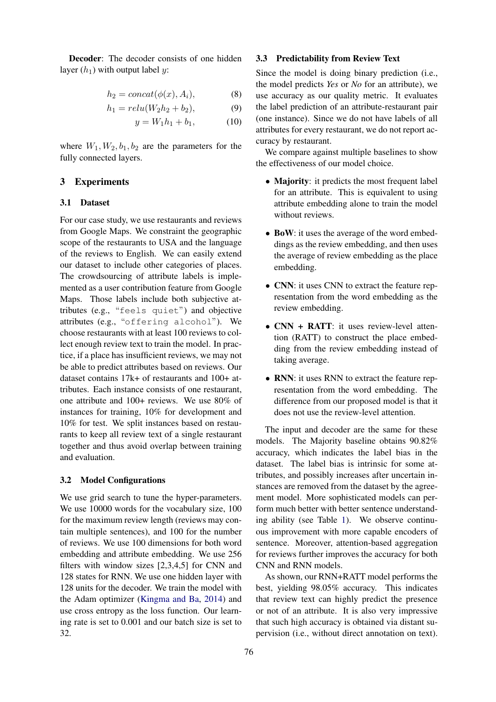Decoder: The decoder consists of one hidden layer  $(h_1)$  with output label y:

$$
h_2 = concat(\phi(x), A_i), \tag{8}
$$

$$
h_1 = relu(W_2h_2 + b_2), \tag{9}
$$

$$
y = W_1 h_1 + b_1, \t(10)
$$

where  $W_1, W_2, b_1, b_2$  are the parameters for the fully connected layers.

## 3 Experiments

#### 3.1 Dataset

For our case study, we use restaurants and reviews from Google Maps. We constraint the geographic scope of the restaurants to USA and the language of the reviews to English. We can easily extend our dataset to include other categories of places. The crowdsourcing of attribute labels is implemented as a user contribution feature from Google Maps. Those labels include both subjective attributes (e.g., "feels quiet") and objective attributes (e.g., "offering alcohol"). We choose restaurants with at least 100 reviews to collect enough review text to train the model. In practice, if a place has insufficient reviews, we may not be able to predict attributes based on reviews. Our dataset contains 17k+ of restaurants and 100+ attributes. Each instance consists of one restaurant, one attribute and 100+ reviews. We use 80% of instances for training, 10% for development and 10% for test. We split instances based on restaurants to keep all review text of a single restaurant together and thus avoid overlap between training and evaluation.

#### 3.2 Model Configurations

We use grid search to tune the hyper-parameters. We use 10000 words for the vocabulary size, 100 for the maximum review length (reviews may contain multiple sentences), and 100 for the number of reviews. We use 100 dimensions for both word embedding and attribute embedding. We use 256 filters with window sizes [2,3,4,5] for CNN and 128 states for RNN. We use one hidden layer with 128 units for the decoder. We train the model with the Adam optimizer [\(Kingma and Ba,](#page-4-3) [2014\)](#page-4-3) and use cross entropy as the loss function. Our learning rate is set to 0.001 and our batch size is set to 32.

#### 3.3 Predictability from Review Text

Since the model is doing binary prediction (i.e., the model predicts *Yes* or *No* for an attribute), we use accuracy as our quality metric. It evaluates the label prediction of an attribute-restaurant pair (one instance). Since we do not have labels of all attributes for every restaurant, we do not report accuracy by restaurant.

We compare against multiple baselines to show the effectiveness of our model choice.

- Majority: it predicts the most frequent label for an attribute. This is equivalent to using attribute embedding alone to train the model without reviews.
- BoW: it uses the average of the word embeddings as the review embedding, and then uses the average of review embedding as the place embedding.
- CNN: it uses CNN to extract the feature representation from the word embedding as the review embedding.
- CNN + RATT: it uses review-level attention (RATT) to construct the place embedding from the review embedding instead of taking average.
- RNN: it uses RNN to extract the feature representation from the word embedding. The difference from our proposed model is that it does not use the review-level attention.

The input and decoder are the same for these models. The Majority baseline obtains 90.82% accuracy, which indicates the label bias in the dataset. The label bias is intrinsic for some attributes, and possibly increases after uncertain instances are removed from the dataset by the agreement model. More sophisticated models can perform much better with better sentence understanding ability (see Table [1\)](#page-3-0). We observe continuous improvement with more capable encoders of sentence. Moreover, attention-based aggregation for reviews further improves the accuracy for both CNN and RNN models.

As shown, our RNN+RATT model performs the best, yielding 98.05% accuracy. This indicates that review text can highly predict the presence or not of an attribute. It is also very impressive that such high accuracy is obtained via distant supervision (i.e., without direct annotation on text).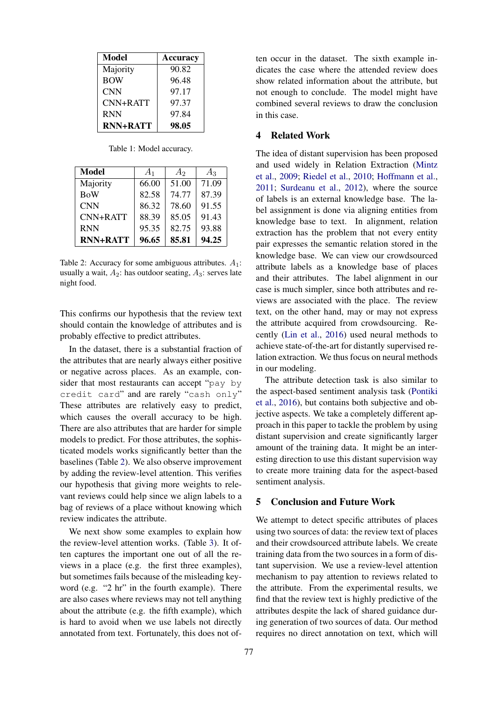| Model           | <b>Accuracy</b> |
|-----------------|-----------------|
| Majority        | 90.82           |
| <b>BOW</b>      | 96.48           |
| <b>CNN</b>      | 97.17           |
| $CNN+RATT$      | 97.37           |
| <b>RNN</b>      | 97.84           |
| <b>RNN+RATT</b> | 98.05           |

<span id="page-3-0"></span>Table 1: Model accuracy.

| Model           | $A_1$ | A <sub>2</sub> | $A_3$ |
|-----------------|-------|----------------|-------|
| Majority        | 66.00 | 51.00          | 71.09 |
| <b>BoW</b>      | 82.58 | 74.77          | 87.39 |
| <b>CNN</b>      | 86.32 | 78.60          | 91.55 |
| $CNN+RATT$      | 88.39 | 85.05          | 91.43 |
| <b>RNN</b>      | 95.35 | 82.75          | 93.88 |
| <b>RNN+RATT</b> | 96.65 | 85.81          | 94.25 |

<span id="page-3-1"></span>Table 2: Accuracy for some ambiguous attributes.  $A_1$ : usually a wait,  $A_2$ : has outdoor seating,  $A_3$ : serves late night food.

This confirms our hypothesis that the review text should contain the knowledge of attributes and is probably effective to predict attributes.

In the dataset, there is a substantial fraction of the attributes that are nearly always either positive or negative across places. As an example, consider that most restaurants can accept "pay by credit card" and are rarely "cash only" These attributes are relatively easy to predict, which causes the overall accuracy to be high. There are also attributes that are harder for simple models to predict. For those attributes, the sophisticated models works significantly better than the baselines (Table [2\)](#page-3-1). We also observe improvement by adding the review-level attention. This verifies our hypothesis that giving more weights to relevant reviews could help since we align labels to a bag of reviews of a place without knowing which review indicates the attribute.

We next show some examples to explain how the review-level attention works. (Table [3\)](#page-4-4). It often captures the important one out of all the reviews in a place (e.g. the first three examples), but sometimes fails because of the misleading keyword (e.g. "2 hr" in the fourth example). There are also cases where reviews may not tell anything about the attribute (e.g. the fifth example), which is hard to avoid when we use labels not directly annotated from text. Fortunately, this does not often occur in the dataset. The sixth example indicates the case where the attended review does show related information about the attribute, but not enough to conclude. The model might have combined several reviews to draw the conclusion in this case.

## 4 Related Work

The idea of distant supervision has been proposed and used widely in Relation Extraction [\(Mintz](#page-4-5) [et al.,](#page-4-5) [2009;](#page-4-5) [Riedel et al.,](#page-4-6) [2010;](#page-4-6) [Hoffmann et al.,](#page-4-7) [2011;](#page-4-7) [Surdeanu et al.,](#page-4-8) [2012\)](#page-4-8), where the source of labels is an external knowledge base. The label assignment is done via aligning entities from knowledge base to text. In alignment, relation extraction has the problem that not every entity pair expresses the semantic relation stored in the knowledge base. We can view our crowdsourced attribute labels as a knowledge base of places and their attributes. The label alignment in our case is much simpler, since both attributes and reviews are associated with the place. The review text, on the other hand, may or may not express the attribute acquired from crowdsourcing. Recently [\(Lin et al.,](#page-4-9) [2016\)](#page-4-9) used neural methods to achieve state-of-the-art for distantly supervised relation extraction. We thus focus on neural methods in our modeling.

The attribute detection task is also similar to the aspect-based sentiment analysis task [\(Pontiki](#page-4-10) [et al.,](#page-4-10) [2016\)](#page-4-10), but contains both subjective and objective aspects. We take a completely different approach in this paper to tackle the problem by using distant supervision and create significantly larger amount of the training data. It might be an interesting direction to use this distant supervision way to create more training data for the aspect-based sentiment analysis.

## 5 Conclusion and Future Work

We attempt to detect specific attributes of places using two sources of data: the review text of places and their crowdsourced attribute labels. We create training data from the two sources in a form of distant supervision. We use a review-level attention mechanism to pay attention to reviews related to the attribute. From the experimental results, we find that the review text is highly predictive of the attributes despite the lack of shared guidance during generation of two sources of data. Our method requires no direct annotation on text, which will